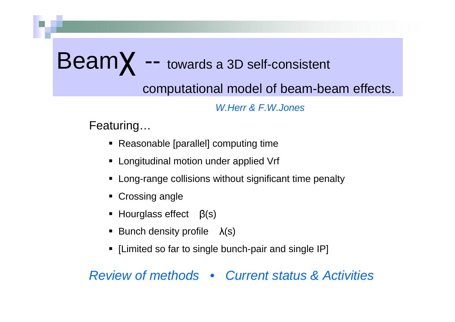# $\text{Beam}$  -- towards a 3D self-consistent

computational model of beam-beam effects.

*W.Herr & F.W.Jones*

Featuring…

- Reasonable [parallel] computing time
- **Example 2 Longitudinal motion under applied Vrf**
- Long-range collisions without significant time penalty
- **Crossing angle**
- $\blacksquare$  Hourglass effect  $\beta(s)$
- **Bunch density profile**  $\lambda$ (s)
- [Limited so far to single bunch-pair and single IP]

*Review of methods • Current status & Activities*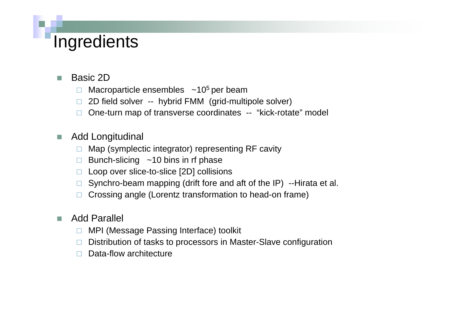## **Ingredients**

- - Basic 2D
	- $\Box$ Macroparticle ensembles  $\sim$ 10<sup>5</sup> per beam
	- $\Box$ 2D field solver -- hybrid FMM (grid-multipole solver)
	- □ One-turn map of transverse coordinates -- "kick-rotate" model
- - Add Longitudinal
	- $\Box$ Map (symplectic integrator) representing RF cavity
	- □ Bunch-slicing ~10 bins in rf phase
	- □ Loop over slice-to-slice [2D] collisions
	- □ Synchro-beam mapping (drift fore and aft of the IP) --Hirata et al.
	- $\Box$ Crossing angle (Lorentz transformation to head-on frame)

#### -Add Parallel

- $\Box$ MPI (Message Passing Interface) toolkit
- □ Distribution of tasks to processors in Master-Slave configuration
- $\Box$ Data-flow architecture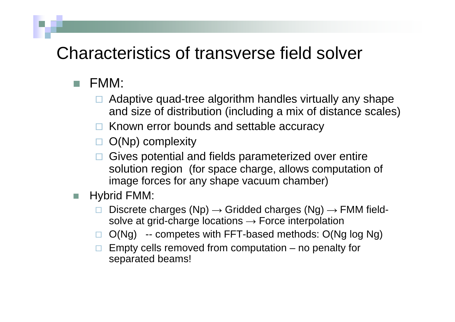### Characteristics of transverse field solver

- $\blacksquare$  FMM:
	- □ Adaptive quad-tree algorithm handles virtually any shape and size of distribution (including a mix of distance scales)
	- □ Known error bounds and settable accuracy
	- $\Box$  O(Np) complexity
	- $\Box$  Gives potential and fields parameterized over entire solution region (for space charge, allows computation of image forces for any shape vacuum chamber)

#### -Hybrid FMM:

- $\Box$ Discrete charges (Np)  $\rightarrow$  Gridded charges (Ng)  $\rightarrow$  FMM fieldsolve at grid-charge locations  $\rightarrow$  Force interpolation
- $\Box$ O(Ng) -- competes with FFT-based methods: O(Ng log Ng)
- $\Box$  Empty cells removed from computation – no penalty for separated beams!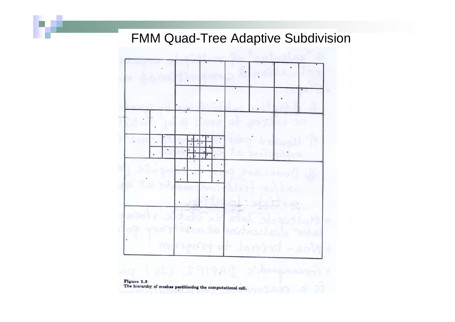#### FMM Quad-Tree Adaptive Subdivision



Figure 2.8<br>The hierarchy of meshes partitioning the computational cell.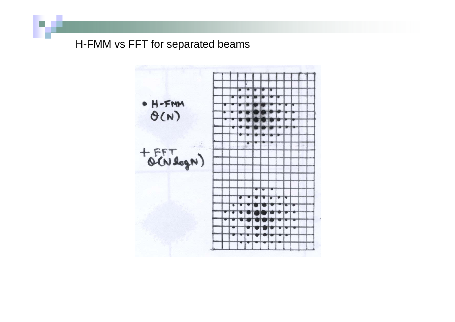#### H-FMM vs FFT for separated beams

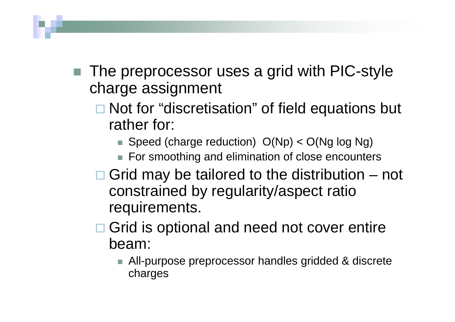- The preprocessor uses a grid with PIC-style charge assignment
	- **□ Not for "discretisation" of field equations but** rather for:
		- Speed (charge reduction) O(Np) < O(Ng log Ng)
		- For smoothing and elimination of close encounters
	- $\Box$  Grid may be tailored to the distribution not constrained by regularity/aspect ratio requirements.
	- **□ Grid is optional and need not cover entire** beam:
		- All-purpose preprocessor handles gridded & discrete charges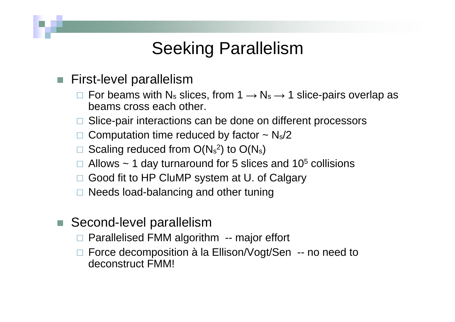## Seeking Parallelism

- First-level parallelism
	- $\square$  For beams with N<sub>s</sub> slices, from 1  $\rightarrow$  N<sub>s</sub>  $\rightarrow$  1 slice-pairs overlap as beams cross each other.
	- □ Slice-pair interactions can be done on different processors
	- $\square$  Computation time reduced by factor  $\sim N_s/2$
	- $\square$  Scaling reduced from  $O(N_s^2)$  to  $O(N_s)$
	- $\Box$  Allows ~ 1 day turnaround for 5 slices and 10<sup>5</sup> collisions
	- □ Good fit to HP CluMP system at U. of Calgary
	- □ Needs load-balancing and other tuning
- - Second-level parallelism
	- □ Parallelised FMM algorithm -- major effort
	- □ Force decomposition à la Ellison/Vogt/Sen -- no need to deconstruct FMM!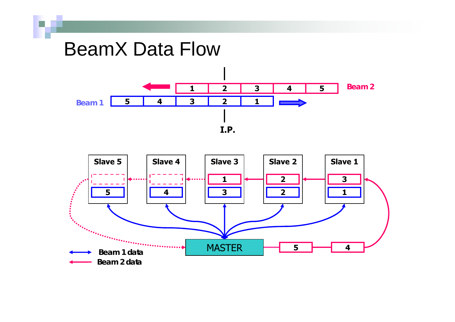## BeamX Data Flow



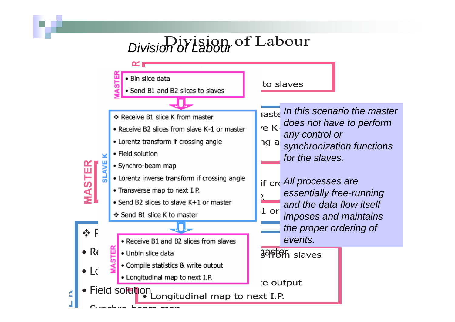## Division of Labour *Division of Labour*



**E K**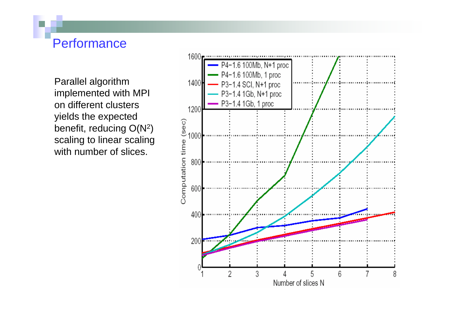#### Performance

Parallel algorithm implemented with MPI on different clusters yields the expected benefit, reducing  $O(N^2)$ scaling to linear scaling with number of slices.

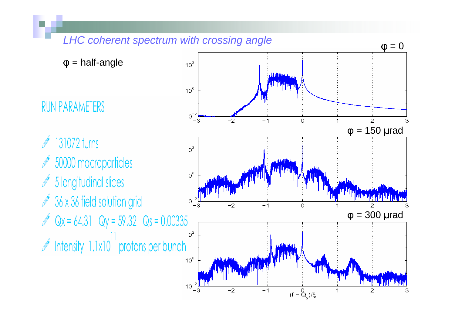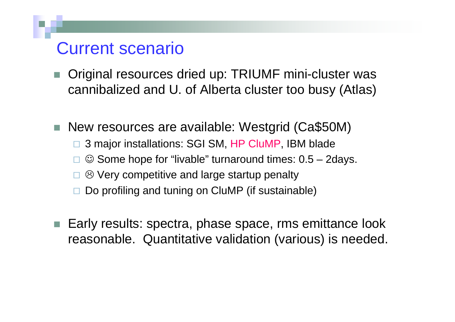### Current scenario

- Original resources dried up: TRIUMF mini-cluster was cannibalized and U. of Alberta cluster too busy (Atlas)
- New resources are available: Westgrid (Ca\$50M)  $\Box$  3 major installations: SGI SM, HP CluMP, IBM blade  $\Box$  $\odot$  Some hope for "livable" turnaround times:  $0.5 - 2$ days. □  $\odot$  Very competitive and large startup penalty  $\Box$ Do profiling and tuning on CluMP (if sustainable)
- - Early results: spectra, phase space, rms emittance look reasonable. Quantitative validation (various) is needed.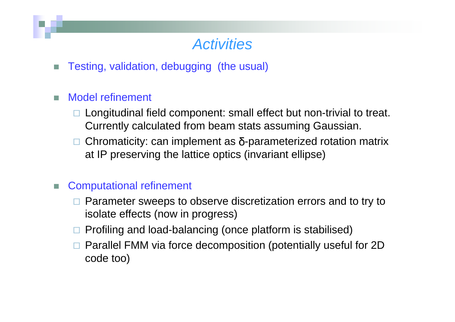### *Activities*

-Testing, validation, debugging (the usual)

#### -Model refinement

- □ Longitudinal field component: small effect but non-trivial to treat. Currently calculated from beam stats assuming Gaussian.
- $\Box$ Chromaticity: can implement as  $\delta$ -parameterized rotation matrix at IP preserving the lattice optics (invariant ellipse)

#### Computational refinement

- □ Parameter sweeps to observe discretization errors and to try to isolate effects (now in progress)
- □ Profiling and load-balancing (once platform is stabilised)
- $\Box$  Parallel FMM via force decomposition (potentially useful for 2D code too)